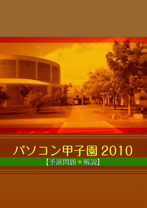バソコン甲子園 2010 【予選問題\*解説】

**DEMONDAY**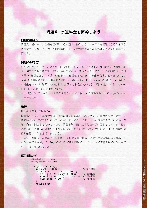# 問題 01 水道料金を節約しよう

### 問題のポイント

問題文で述べられた仕様を理解し、その通りに動作するプログラムを記述できるかを問う 問題です。変数、入出力、四則演算に加え、条件分岐や繰り返し処理についての知識が必 要です。

### 問題の解き方

いくつかのアルゴリズムが考えられますが、 w が 100 以下と小さい値なので、水量を 1m3 ずつ増やして料金を加算していく簡単なアルゴリズムでも大丈夫です。具体的には、使用 水量 w を引数として水道料金を計算する関数 getCost() を作ります。getCost() では cost を基本料金である 1150 に初期化し、累計水量が 11 から w m3 について 1m3 あたり の料金を cost に加算していきます。加算する料金はそのときの累計水量 i によって 120, 140, あるいは 160 と変化させます。

main 関数ではデータセットの処理を行うループの中で w を読み込み、4280 - getCost(w) を出力します。

### 講評 あいしょう こうしょう しょうしょう アイディング しょうしょう

提出数 : 688、正解数 304

提出数も多く、不正解の理由も多岐に渡りましたが、入力のミス、出力形式のエラー(必 要の無い改行や空白を出力している等)、単一のデータセットしか処理できていない等、問 題の内容に関連するものではなく、問題を解く際の基本的な事項に関するミスが多く見ら れました。これらの理由で不正解になってしまうのはもったいないので、自分の環境で実 行し確認してから提出しましょう。

また、問題特有の間違いとしては、10 の剰余算を取ることで各段階の水の量を計算して いるプログラムが、10、20、30 の 10 で割り切れてしまうケースで撃墜されているプログ ラムも多く見られました。

### 解答例**(C++)**

#include<iostream> using namespace std;

```
int getCost(int w){
   int cost = 1150; // 第1段階
   for (int i = 11; i <= w; i++ ) {
       if ( i <= 20 ) cost += 125; // 第2段階
      else if ( 30 < i ) cost += 160; // 第4段階<br>else cost += 140; // 第3段階
      else cost += 140;
 }
```
return cost;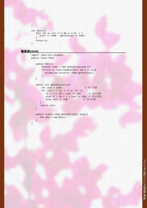```
int main(){
    for( int w; cin >> w && w >= 0; ) {
       \text{cut} \leq 4280 - \text{getCost}(w) \leq \text{endl}; }
     return 0;
}
```
### 解答例**(Java)**

}

}

}

```
import java.util.Scanner;
public class P01{
```

```
public P01(){
    Scanner scan = new Scanner(System.in)
    for(int w; scan.hasNextInt() && w >= 0;){
      System.out.println( 4280 - \text{qetCost}(w) );
    }
```

```
public int getCost(int w){
    int cost = 1150; // 第1段階
    for (int i = 11; i <= w; i++ ){
       if ( i <= 20 ) cost += 125; // 第2段階
       else if ( 30 < i ) cost += 160; // 第4段階 <br>else cost += 140; <br>// 第3段階
       else cost += 140;
    }
    return cost;
```

```
public static void main(String[] args){
  P01 p01 = new P01() }
```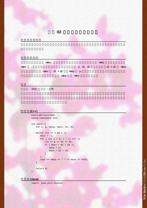$\max$ v,  $\max$  $maxv -1$  p, d1, d2  $d1 + d2$  maxv  $maxv$  d1 + d2  $maxp$  p raxp maxp maxv enterprise maxv enterprise  $\sim$ 

講評

 $: 542 : 179$ 

## 解答例**(C++)**

```
#include<iostream>
using namespace std;
int main(){
    int n, p, maxp, maxv, d1, d2;
   while( \operatorname{cin} >> n && n ){
       maxv = -1;for ( int i = 0; i < n; i++ ){
         cin >> p >> d1 >> d2;
         if ( maxv < d1 + d2 ) {
            maxp = pimaxv = d1 + d2;
          }
        }
       cout << maxp << " " << maxv << endl;
    }
    return 0;
}
```
解答例**(Java)**

import java.util.Scanner;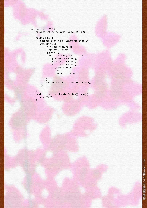```
public class P02 {
   private int n, p, maxp, maxv, d1, d2;
   public P02(){
      Scanner scan = new Scanner(System.in);
      while(true){
           n = scan.nextInt();
           if(n == 0) break;maxv = -1;
           for(int i = 0 ; i < n ; i++){
              p = scan.nextInt();
               d1 = scan.nextInt();
               d2 = scan.nextInt();
               if(maxv < d1+d2)maxp = pimaxv = d1 + d2;
               }
           }
           System.out.println(maxp+" "+maxv);
       }
```
public static void main(String[] args){ new P02();

}

}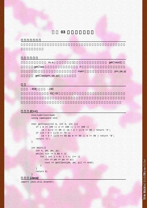

| m, e, j              |      | getClass() |
|----------------------|------|------------|
| getClass             | if   |            |
|                      | main | pm, pe, pj |
| getClass(pm, pe, pj) |      |            |
|                      |      |            |
| : 240<br>:459        |      |            |
| 02<br>01             |      |            |

### 解答例**(C++)**

```
#include<iostream>
      using namespace std;
      char getClass(int m, int e, int j){
         if ( m == 100 || e = = 100 || j = = 100 ||
             (m + e)/2 >= 90 || (m + e + j)/3 >= 80 ) return 'A';
         if ((m + e + j)/3 > = 70(m + e + j)/3 >= 50 & m >= 80 || e >= 80 ) return 'B';
          return 'C';
      }
      int main(){
          int n, pm, pe, pj;
         while( \operatorname{cin} >> n && n ){
             for ( int i = 0; i < n; i++ ) {
                cin >> pm >> pe >> pj;
                cout << getClass(pm, pe, pj) << endl;
              }
          }
          return 0;
      }
解答例(Java)
```
import java.util.Scanner;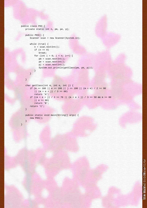```
public class P03 {
   private static int n, pm, pe, pj;
```
}

}

```
public P03() {
   Scanner scan = new Scanner(System.in);
```

```
while (true) {
   n = scan.nextInt();
   if (n == 0)break;
   for (int i = 0; i < n; i++) {
     pm = scan.nextInt();
      pe = scan.nextInt();
     pj = scan.nextInt();
      System.out.println(getClass(pm, pe, pj));
   }
```

```
char getClass(int m, int e, int j) {
   if (m == 100 || e == 100 || j == 100 || (m + e) / 2 >= 90| (m + e + j) / 3 >= 80)
      return 'A';
   if ((m + e + j) / 3 \ge 70 || (m + e + j) / 3 \ge 50 & m \ge 80|| e >= 80)
      return 'B';
   return 'C';
```

```
public static void main(String[] args) {
   new P03();
}
```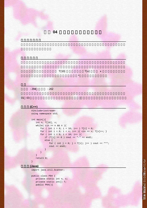

問題 **04** 人気のアイスクリーム店

 $: 294$   $: 202$ 

01 03  $\blacksquare$ 

解答例**(C++)**

#include<iostream> using namespace std;

```
int main(){
    int n, T[10], x;
   while( cin \gg n \& n \gg n ){
      for ( int i = 0; i < 10; i++ ) T[i] = 0;
      for ( int i = 0; i < n; i++ ) { cin >> x; T[x]++; }
      for ( int i = 0; i < 10; i++ ) {
          if (T[i] == 0) cout << "-" << endl;
           else {
             for ( int j = 0; j < T[i]; j++ ) cout << "*";
              cout << endl;
}
       }
```
 } return 0;

### 解答例**(Java)**

}

import java.util.Scanner;

```
public class P04 {
   private static int n, x;
   private static int[] T;
   public P04(){
```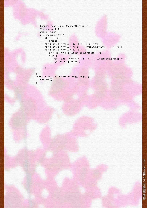```
Scanner scan = new Scanner(System.in);
T = new int[10];while (true) {
n = scan.nextInt();
   if (n == 0)break;
   for ( int i = 0; i < 10; i++ ) T[i] = 0;
   for ( int i = 0; i < n; i++ ) { x = scan.nextInt(); T[x]++; }
   for ( int i = 0; i < 10; i++ ) {
      if (T[i] == 0) System.out.println("-");
      else {
         for ( int j = 0; j < T[i]; j++ ) System.out.print("*");
          System.out.println();
      }
```
public static void main(String[] args) { new P04(); }

}

}

}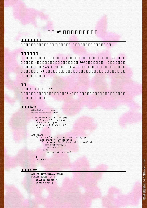

#### import java.util.Scanner; public class P05 { private double n; public P05(){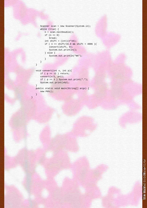```
Scanner scan = new Scanner(System.in);
while (true) {
   n = scan.nextDouble();
   if (n \leq 0)break;
   int shift = (int)(n*16);if ( n == shift/16.0 && shift < 4096 ){
      convert(shift, 0);
      System.out.println();
   } else {
      System.out.println("NA");
   }
```
void convert(int x, int p){ if ( $p == 12$ ) return; convert $(x/2, p+1)$ ; if ( $p == 3$ ) System.out.print("."); System.out.print(x%2); }

}

}

}

}

public static void main(String[] args) { new P05();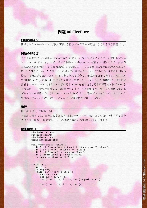## 問題 **06 FizzBuzz**

### 問題のポイント

簡単なシミュレーション(状況の再現)を行うプログラムが記述できるかを問う問題です。

### 問題の解き方

可変長の配列として扱える vector<int> を使って、残っているプレイヤーを管理しシミュ レーションを行います。まず、発言の順番 x と発言された言葉 y を引数にとり、発言が 正答かどうかを判定する関数 judge() を定義します。この関数では問題に定義されたよう に、3 で割り切れかつ 5 で割り切れる場合では発言が"FizzBuzz"であるか、3 で割り切れる 場合では発言が"Fizz"であるか、5 で割り切れる場合では発言が"Buzz"であるか、それ以外 では順番 x が y に等しいかどうかを判定します。シミュレーション本体では、現在の発 言者をカーソル cur で示し、1つずつ発言 num を読み込み、発言が正答であれば cur を 1つ進め、そうでなければ cur の位置のプレイヤーを削除します。カーソルは残っている プレイヤーを循環するように cur = cur%P.size() とし、途中でプレイヤーが一人になった 場合は、読み込み処理を除いてシミュレーション処理を終了します。

### 講評 あいしょう こうしょう しょうしょう アイディング しょうしょう

提出数 : 181、正解数 : 16

不正解の解答では、出力の文字と文字の間の半角スペース数が正しくない(多すぎる場合 や足りない場合)、次のプレイヤーの選択ミスなどの間違いが見られました。

### 解答例**(C++)**

```
#include<iostream>
#include<string>
#include<vector>
using namespace std;
bool judge(int x, string y){
   if ( x \t3 = 0 & x \t3 = 0 ) return y == "FizzBuzz";
   if (x \text{ } 3 == 0) return y == "Fixz";if ( x \t3 5 == 0 ) return y == "Buzz"; if ( !isdigit(y[0]) ) return false;
   return x == \text{atoi}(y.c\_str());
}
int main(){
    int m, n;
    string num;
    while( cin >> m >> n && m ){
       vector<int> P;
       int cur = 0, w = -1;
       for ( int i = 1; i \le m; i++) P.push_back(i);
       for ( int i = 1; i <= n; i++ ){
```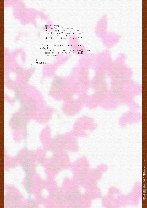```
\sin >> \text{num}if (w != -1) continue;
    if ( judge(i, num) ) cur++;<br>else P.erase(P.begin() + cur);
    cur = curP, size()if ( P.size() == 1 ) w = P[0];\}if (w := -1) cout << w \leq w donalized:
else {
    for ( int i = 0; i < P.size(); i++)
   \text{out} \le (\text{i})? " \text{...} \le \text{P[i]},<br>
\text{out} \le \text{end}\left\{ \right\}
```
 $\left\{ \right\}$ return 0;

 $\}$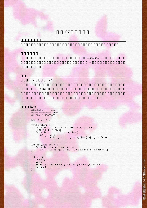

```
for ( int i = 0; i \le N; i++ ) P[i] = true;
   P[0] = P[1] = false;for ( int i = 2; i * i \le N; i + 1)
       if ( P[i] )
          for ( int j = 2; i * j \le N; j++ ) P[i * j] = false;
}
int getQuads(int n){
```

```
for ( int i = n; i \ge 13; i = -)
    if ( P[i] && P[i-2] && P[i-6] && P[i-8] ) return i;
```

```
int main(){
    eratos();
    int n;
   while( cin \gg n && n ) cout << getQuads(n) << endl;
   return 0;
}
```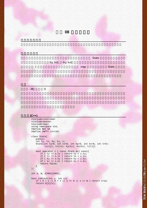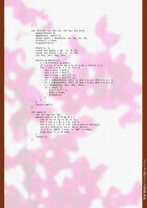```
int bfs(int ty, int tx, int ky, int kx){
    queue<State> Q;
    map<State, bool> V;
   State start = State(ty, tx, ky, kx, 0);
    V[start] = true;
    Q.push(start);
    State u, v;
   const int dy[4] = \{0, -1, 0, 1\};
   const int dx[4] = \{1, 0, -1, 0\};
    int nty, ntx, nky, nkx;
    while(!Q.empty()){
       u = Q.Front(); Q.pop();
       if ( u.txt = u.kx & u.ty = u.ky ) return ut;for ( int r = 0; r < 4; r++ ) {
         nty = u.ty + dy[r];ntx = u.txt + dx[r];nky = u.ky + dy[r] * (-1);nkx = u.kx + dx[r] * (-1);if ( isBlock(nty, ntx) ){ nty = u.ty; ntx = u.tx; }
          if ( isBlock(nky, nkx) ) { nky = u.ky; nkx = u.kx; }
           v = State(nty, ntx, nky, nkx);
           if ( !V[v] ){
              v.t = u.t + 1;V[v] = true; Q.push(v);
       \begin{matrix} \end{matrix}\overline{\phantom{a}} }
    return INFTY;
}
int main(){
 int tx, ty, kx, ky;
    while( cin >> W >> H && W ) {
        cin >> tx >> ty >> kx >> ky;
       for ( int i = 0; i < H; i++ )
       for ( int j = 0; j < W; j++ ) cin >> G[i][j];
      int t = bfs(ty-1, tx-1, ky-1, kx-1);if ( t == INTY ) cout << "NA" << endl;
       else cout << t << endl;
    }
    return 0;
```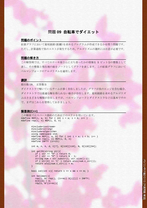# 問題 **09** 自転車でダイエット

### 問題のポイント

拡張グラフにおいて最短経路(距離)を求めるプログラムが作成できるかを問う問題です。 ただし、計算過程で負のコストが発生するため、アルゴリズムの選択には注意が必要です。

### 問題の解き方

この解答例では、すべてのケーキ屋さんに立ち寄ったかの情報を 5 ビット分の整数として 表し、その整数と現在地の組をノードとしてグラフを表します。この拡張グラフにおいて ベルマンフォードのアルゴリズムを適用します。

### 講評 おおとこ しょうしょう しょうしょう しょうしょう しょうしょう

提出数:19、 正答数:3

ダイクストラで解いているチームが多く存在しましたが、グラフが負のエッジを含む場合、 ダイクストラでは最適な解を得られない場合が存在します。最短経路を求めるアルゴリズ ムはさまざまな種類が存在しますが、ベルマンフォードとダイクストラなどは基本ですの で、まずはこれらを習得しておきましょう。

### 解答例**(C++)**

```
この解説ではスペース節約のため以下のマクロを用いています。
#define REP(i, a, b) for ( int i = a; i < b; i++ )
#define rep(i, n) REP(i, 0, n)
```

```
#include<iostream>
#include<string>
#include<algorithm>
using namespace std;
#define REP(i, a, b) for ( int i = a; i < b; i++ )
#define rep(i, n) REP(i, 0, n)
#define INFTY (1<<21)
int m, n, k, d, C[7], G[110][110], N, D[110][64];
int getID(string str){
   if (str == "H") return 0;
  if ( str == "D" ) return N - 1;
  string num = str.substr(1, str.size() - 1);if (str[0] == 'C') return atoi(num.c\_str());
   return atoi(num.c_str()) + m;
}
bool isC(int x) { return 1 \le x \&x \le \min }
int bellman(){
  rep(i, N) rep(j, (1<<math>m</math>)) D[i][j] = INFTY;D[0][0] = 0;
```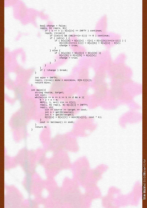```
bool change = false;
      rep(u, N) rep(v, N)if ( u == v || G[u][v] == INFTY ) continue;
          rep(b, (1<<m)){
              if (isC(v) && (b\&(1<<(v-1))) != 0 ) continue;
              if ( isc(v) ) {
                  if ( D[u][b] + G[u][v] - C[v] < D[v][b] (1<<(v-1))] ) {
                     D[v][b](1<<(v-1))] = D[u][b] + G[u][v] - C[v];change = true;
                  }
              } else {
                 if ( D[u][b] + G[u][v] < D[v][b] ) {
                     D[v][b] = D[u][b] + G[u][v];change = true;}
             }
          }
      }
      if ( !change ) break;
  }
  int miny = INFTY;
  rep(i, (1<<math>m</math>)) minv = min(minv, D[N-1][i]);return minv;
}
int main(){
  string source, target;
  int cost;
  while(cin >> m >> n >> k >> d && m ){
      N = 2 + n + m;
      REP(i, 1, m+1) cin >> C[i];
      rep(i, N) rep(j, N) G[i][j] = INFTY;rep(i, d)cin >> source >> target >> cost;
          int s = getID(source);
          int t = getID(target);G[t][s] = G[s][t] = min(G[s][t], cost * k);}
      cout << bellman() << endl;
   }
  return 0;
```

```
}
```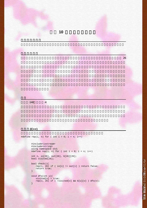

 $\mathbb{R}^n$  , so that  $\mathbb{R}^n$  is the state of  $\mathbb{R}^n$  and  $\mathbb{R}^n$  and  $\mathbb{R}^n$  and  $\mathbb{R}^n$  and  $\mathbb{R}^n$ 



 $:140:4$ 

解答例**(C++)**

#define rep(i, n) for ( int i = 0; i < n; i++)

```
#include<iostream>
#include<string>
using namespace std;
#define rep(i, n) for ( int i = 0; i < n; i++)
int n, in[26], out[26], G[26][26];
bool visited[26];
bool check(){
   rep(i, 26) if ( in[i] != out[i] ) return false;
    return true;
}
void dfs(int u){
 visited[u] = true;
   rep(v, 26) if ( !visited[v] && G[u][v] ) dfs(v);
}
```
講評